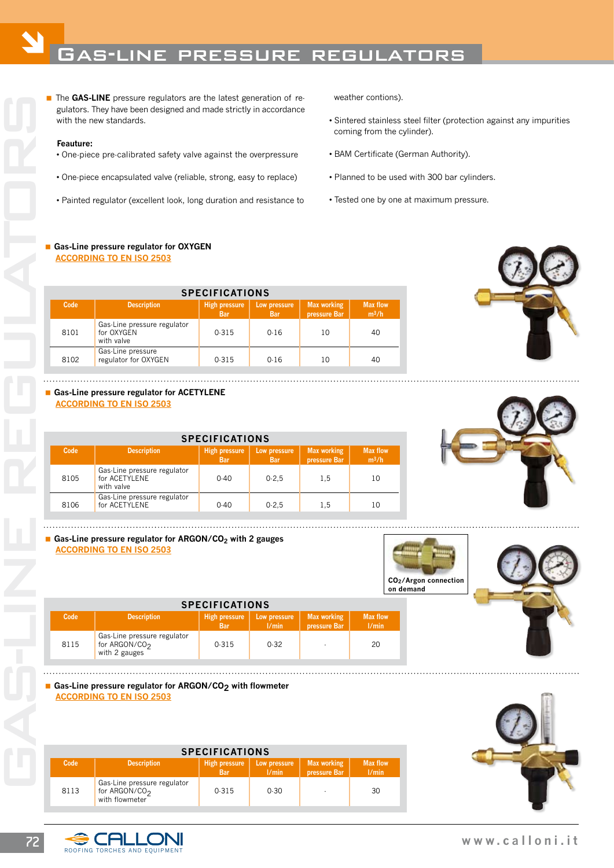# Ó Gas-line pressure regulators

The **GAS-LINE** pressure regulators are the latest generation of regulators. They have been designed and made strictly in accordance with the new standards. gulators. They have been designed and made strictly in accordance with the new standards.

#### **Feauture:**

- One-piece pre-calibrated safety valve against the overpressure
- One-piece encapsulated valve (reliable, strong, easy to replace)
- Painted regulator (excellent look, long duration and resistance to

weather contions).

- Sintered stainless steel filter (protection against any impurities coming from the cylinder).
- BAM Certificate (German Authority).
- Planned to be used with 300 bar cylinders.
- Tested one by one at maximum pressure.

#### **Gas-Line pressure regulator for OXYGEN According to en iso 2503**

| <b>SPECIFICATIONS</b> |                                                         |                                    |                            |                                    |                            |  |  |
|-----------------------|---------------------------------------------------------|------------------------------------|----------------------------|------------------------------------|----------------------------|--|--|
| Code                  | Description                                             | <b>High pressure</b><br><b>Bar</b> | Low pressure<br><b>Bar</b> | <b>Max working</b><br>pressure Bar | <b>Max flow</b><br>$m^3/h$ |  |  |
| 8101                  | Gas-Line pressure regulator<br>for OXYGEN<br>with valve | 0.315                              | 0.16                       | 10                                 | 40                         |  |  |
| 8102                  | Gas-Line pressure<br>regulator for OXYGEN               | 0.315                              | 0.16                       | 10                                 | 40                         |  |  |



# **Gas-Line pressure regulator for ACETYLENE According to en iso 2503**

| <b>SPECIFICATIONS</b> |                                                            |                                    |                            |                                    |                            |  |  |  |
|-----------------------|------------------------------------------------------------|------------------------------------|----------------------------|------------------------------------|----------------------------|--|--|--|
| Code                  | Description                                                | <b>High pressure</b><br><b>Bar</b> | Low pressure<br><b>Bar</b> | <b>Max working</b><br>pressure Bar | <b>Max flow</b><br>$m^3/h$ |  |  |  |
| 8105                  | Gas-Line pressure regulator<br>for ACETYLENE<br>with valve | $0-40$                             | $0-2.5$                    | 1.5                                | 10                         |  |  |  |
| 8106                  | Gas-Line pressure regulator<br>for ACETYLENE               | $0-40$                             | $0-2.5$                    | 1.5                                | 10                         |  |  |  |

 **Code Description High pressure Low pressure Max working Max flow Bar l/min pressure Bar l/min**

**SPECIFICATIONS**

# **Gas-Line pressure regulator for ARGON/CO<sub>2</sub> with 2 gauges According to en iso 2503**





# for ARGON/CO<sub>2</sub> 0-315 0-32  $\begin{vmatrix} 0.315 & 0.32 \end{vmatrix}$  20 with 2 gauges

#### Gas-Line pressure regulator for ARGON/CO<sub>2</sub> with flowmeter **According to en iso 2503**

Gas-Line pressure regulator<br>8115 for ARGON/COo

| <b>SPECIFICATIONS</b> |                                                                            |                                    |                       |                                    |                          |  |  |
|-----------------------|----------------------------------------------------------------------------|------------------------------------|-----------------------|------------------------------------|--------------------------|--|--|
| Code                  | <b>Description</b>                                                         | <b>High pressure</b><br><b>Bar</b> | Low pressure<br>1/min | <b>Max working</b><br>pressure Bar | <b>Max flow</b><br>1/min |  |  |
| 8113                  | Gas-Line pressure regulator<br>for ARGON/CO <sub>2</sub><br>with flowmeter | 0.315                              | 0.30                  |                                    | 30                       |  |  |